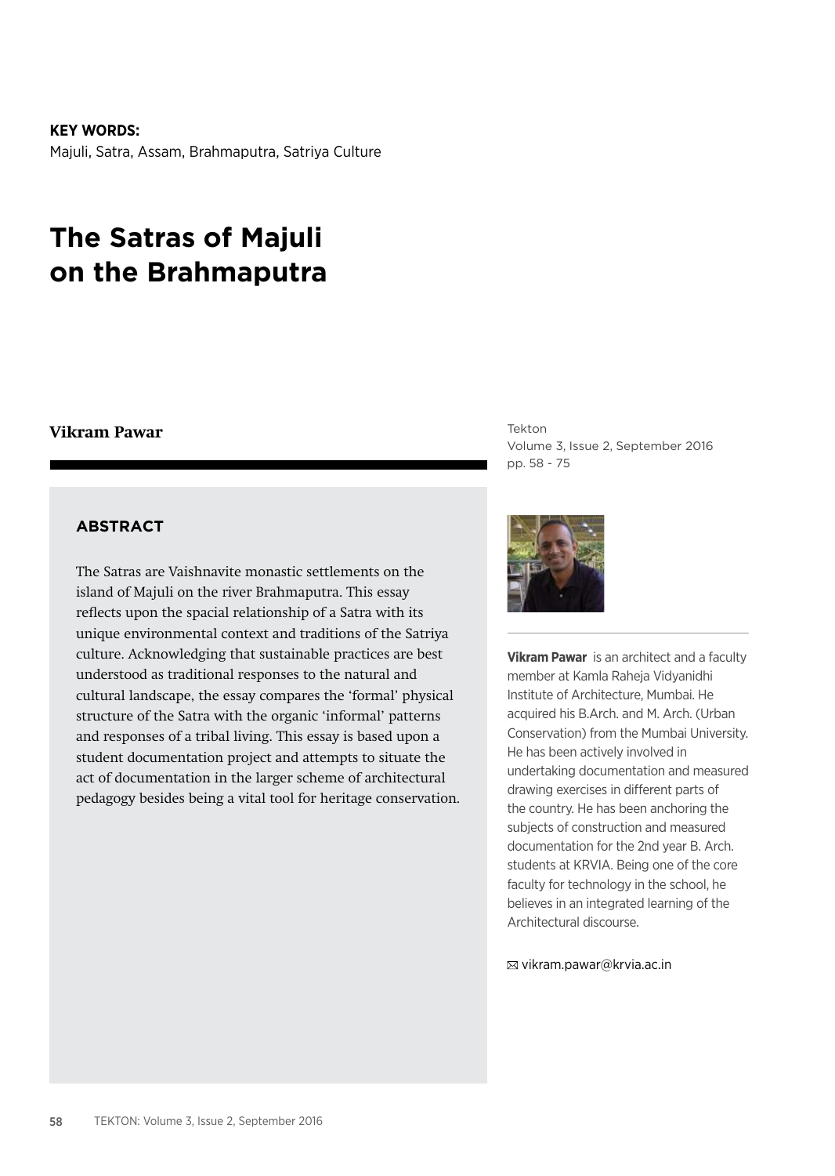#### **KEY WORDS:**

Majuli, Satra, Assam, Brahmaputra, Satriya Culture

# **The Satras of Majuli on the Brahmaputra**

### **Vikram Pawar**

#### **ABSTRACT**

The Satras are Vaishnavite monastic settlements on the island of Majuli on the river Brahmaputra. This essay reflects upon the spacial relationship of a Satra with its unique environmental context and traditions of the Satriya culture. Acknowledging that sustainable practices are best understood as traditional responses to the natural and cultural landscape, the essay compares the 'formal' physical structure of the Satra with the organic 'informal' patterns and responses of a tribal living. This essay is based upon a student documentation project and attempts to situate the act of documentation in the larger scheme of architectural pedagogy besides being a vital tool for heritage conservation. Tekton Volume 3, Issue 2, September 2016 pp. 58 - 75



**Vikram Pawar** is an architect and a faculty member at Kamla Raheja Vidyanidhi Institute of Architecture, Mumbai. He acquired his B.Arch. and M. Arch. (Urban Conservation) from the Mumbai University. He has been actively involved in undertaking documentation and measured drawing exercises in different parts of the country. He has been anchoring the subjects of construction and measured documentation for the 2nd year B. Arch. students at KRVIA. Being one of the core faculty for technology in the school, he believes in an integrated learning of the Architectural discourse.

vikram.pawar@krvia.ac.in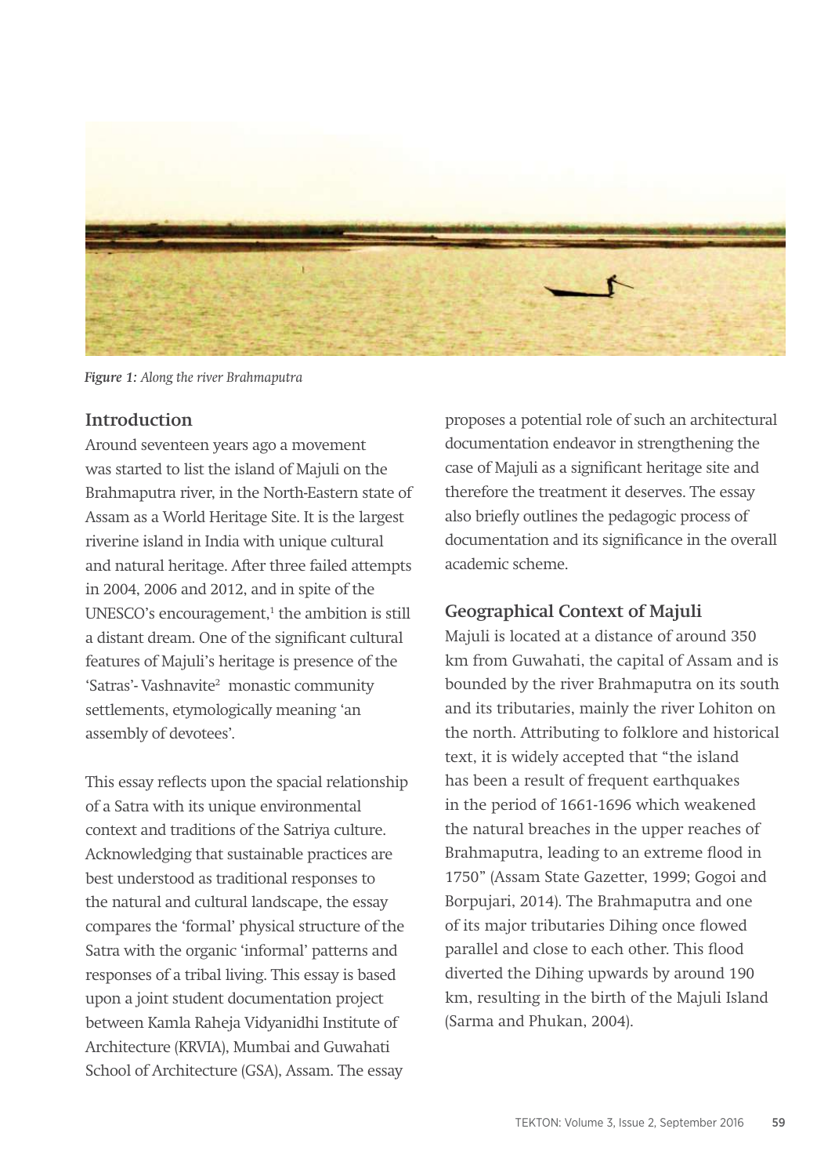

*Figure 1: Along the river Brahmaputra*

### **Introduction**

Around seventeen years ago a movement was started to list the island of Majuli on the Brahmaputra river, in the North-Eastern state of Assam as a World Heritage Site. It is the largest riverine island in India with unique cultural and natural heritage. After three failed attempts in 2004, 2006 and 2012, and in spite of the UNESCO's encouragement,<sup>1</sup> the ambition is still a distant dream. One of the significant cultural features of Majuli's heritage is presence of the 'Satras'- Vashnavite<sup>2</sup> monastic community settlements, etymologically meaning 'an assembly of devotees'.

This essay reflects upon the spacial relationship of a Satra with its unique environmental context and traditions of the Satriya culture. Acknowledging that sustainable practices are best understood as traditional responses to the natural and cultural landscape, the essay compares the 'formal' physical structure of the Satra with the organic 'informal' patterns and responses of a tribal living. This essay is based upon a joint student documentation project between Kamla Raheja Vidyanidhi Institute of Architecture (KRVIA), Mumbai and Guwahati School of Architecture (GSA), Assam. The essay

proposes a potential role of such an architectural documentation endeavor in strengthening the case of Majuli as a significant heritage site and therefore the treatment it deserves. The essay also briefly outlines the pedagogic process of documentation and its significance in the overall academic scheme.

### **Geographical Context of Majuli**

Majuli is located at a distance of around 350 km from Guwahati, the capital of Assam and is bounded by the river Brahmaputra on its south and its tributaries, mainly the river Lohiton on the north. Attributing to folklore and historical text, it is widely accepted that "the island has been a result of frequent earthquakes in the period of 1661-1696 which weakened the natural breaches in the upper reaches of Brahmaputra, leading to an extreme flood in 1750" (Assam State Gazetter, 1999; Gogoi and Borpujari, 2014). The Brahmaputra and one of its major tributaries Dihing once flowed parallel and close to each other. This flood diverted the Dihing upwards by around 190 km, resulting in the birth of the Majuli Island (Sarma and Phukan, 2004).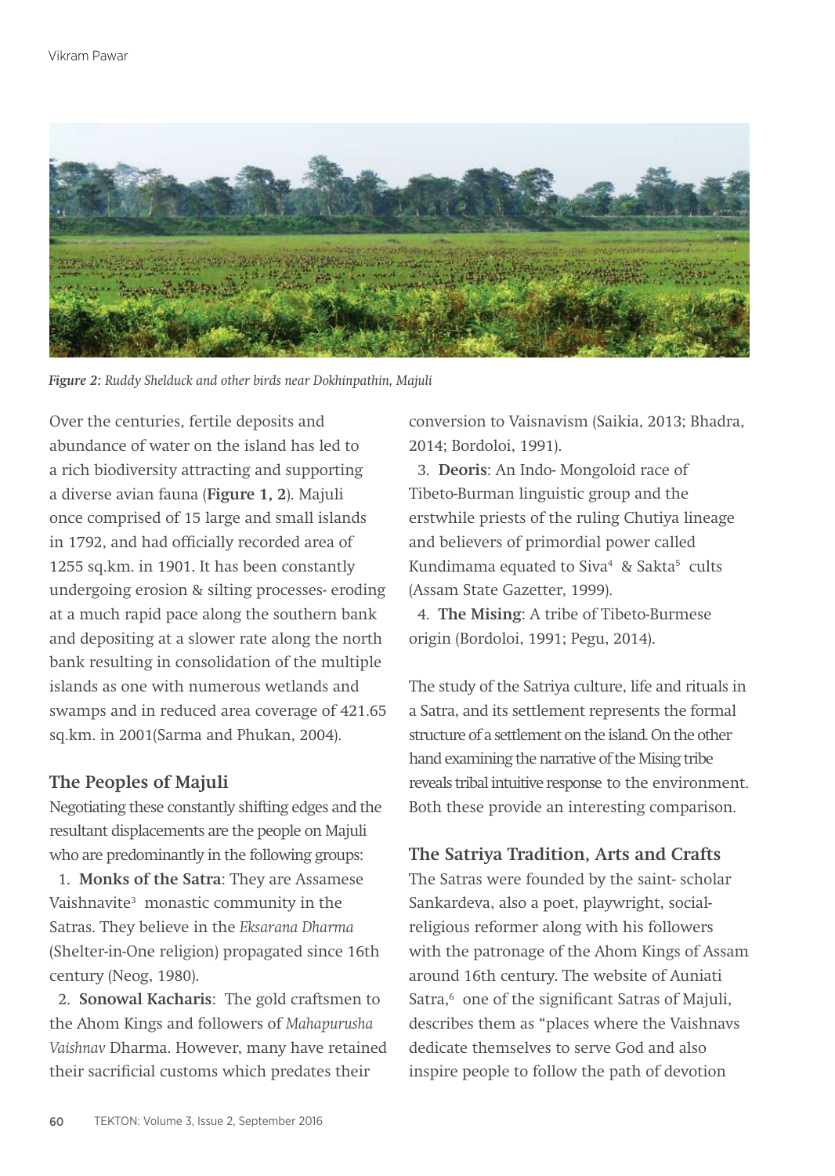

*Figure 2: Ruddy Shelduck and other birds near Dokhinpathin, Majuli*

Over the centuries, fertile deposits and abundance of water on the island has led to a rich biodiversity attracting and supporting a diverse avian fauna (**Figure 1, 2**). Majuli once comprised of 15 large and small islands in 1792, and had officially recorded area of 1255 sq.km. in 1901. It has been constantly undergoing erosion & silting processes- eroding at a much rapid pace along the southern bank and depositing at a slower rate along the north bank resulting in consolidation of the multiple islands as one with numerous wetlands and swamps and in reduced area coverage of 421.65 sq.km. in 2001(Sarma and Phukan, 2004).

### **The Peoples of Majuli**

Negotiating these constantly shifting edges and the resultant displacements are the people on Majuli who are predominantly in the following groups:

 1. **Monks of the Satra**: They are Assamese Vaishnavite<sup>3</sup> monastic community in the Satras. They believe in the *Eksarana Dharma* (Shelter-in-One religion) propagated since 16th century (Neog, 1980).

 2. **Sonowal Kacharis**: The gold craftsmen to the Ahom Kings and followers of *Mahapurusha Vaishnav* Dharma. However, many have retained their sacrificial customs which predates their

conversion to Vaisnavism (Saikia, 2013; Bhadra, 2014; Bordoloi, 1991).

 3. **Deoris**: An Indo- Mongoloid race of Tibeto-Burman linguistic group and the erstwhile priests of the ruling Chutiya lineage and believers of primordial power called Kundimama equated to Siva<sup>4</sup> & Sakta<sup>5</sup> cults (Assam State Gazetter, 1999).

 4. **The Mising**: A tribe of Tibeto-Burmese origin (Bordoloi, 1991; Pegu, 2014).

The study of the Satriya culture, life and rituals in a Satra, and its settlement represents the formal structure of a settlement on the island. On the other hand examining the narrative of the Mising tribe reveals tribal intuitive response to the environment. Both these provide an interesting comparison.

### **The Satriya Tradition, Arts and Crafts**

The Satras were founded by the saint- scholar Sankardeva, also a poet, playwright, socialreligious reformer along with his followers with the patronage of the Ahom Kings of Assam around 16th century. The website of Auniati Satra,<sup>6</sup> one of the significant Satras of Majuli, describes them as "places where the Vaishnavs dedicate themselves to serve God and also inspire people to follow the path of devotion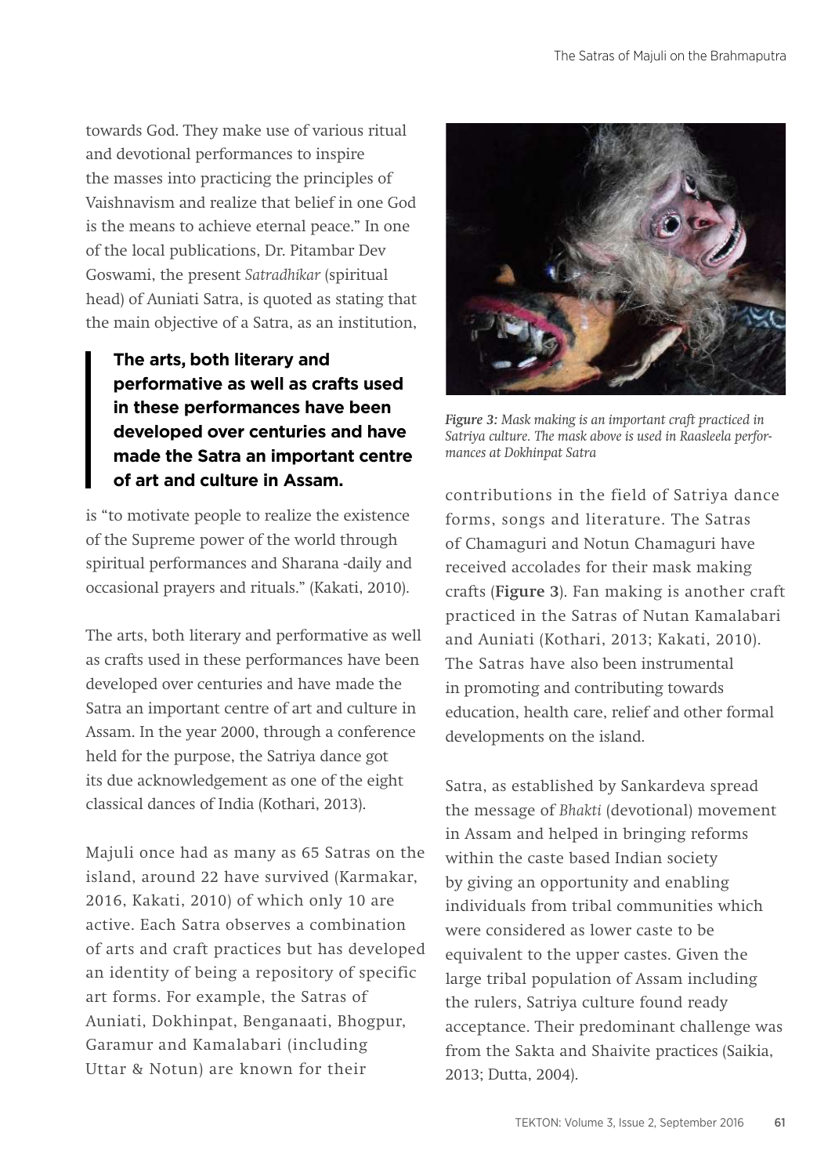towards God. They make use of various ritual and devotional performances to inspire the masses into practicing the principles of Vaishnavism and realize that belief in one God is the means to achieve eternal peace." In one of the local publications, Dr. Pitambar Dev Goswami, the present *Satradhikar* (spiritual head) of Auniati Satra, is quoted as stating that the main objective of a Satra, as an institution,

# **The arts, both literary and performative as well as crafts used in these performances have been developed over centuries and have made the Satra an important centre of art and culture in Assam.**

is "to motivate people to realize the existence of the Supreme power of the world through spiritual performances and Sharana -daily and occasional prayers and rituals." (Kakati, 2010).

The arts, both literary and performative as well as crafts used in these performances have been developed over centuries and have made the Satra an important centre of art and culture in Assam. In the year 2000, through a conference held for the purpose, the Satriya dance got its due acknowledgement as one of the eight classical dances of India (Kothari, 2013).

Majuli once had as many as 65 Satras on the island, around 22 have survived (Karmakar, 2016, Kakati, 2010) of which only 10 are active. Each Satra observes a combination of arts and craft practices but has developed an identity of being a repository of specific art forms. For example, the Satras of Auniati, Dokhinpat, Benganaati, Bhogpur, Garamur and Kamalabari (including Uttar & Notun) are known for their



*Figure 3: Mask making is an important craft practiced in Satriya culture. The mask above is used in Raasleela performances at Dokhinpat Satra*

contributions in the field of Satriya dance forms, songs and literature. The Satras of Chamaguri and Notun Chamaguri have received accolades for their mask making crafts (**Figure 3**). Fan making is another craft practiced in the Satras of Nutan Kamalabari and Auniati (Kothari, 2013; Kakati, 2010). The Satras have also been instrumental in promoting and contributing towards education, health care, relief and other formal developments on the island.

Satra, as established by Sankardeva spread the message of *Bhakti* (devotional) movement in Assam and helped in bringing reforms within the caste based Indian society by giving an opportunity and enabling individuals from tribal communities which were considered as lower caste to be equivalent to the upper castes. Given the large tribal population of Assam including the rulers, Satriya culture found ready acceptance. Their predominant challenge was from the Sakta and Shaivite practices (Saikia, 2013; Dutta, 2004).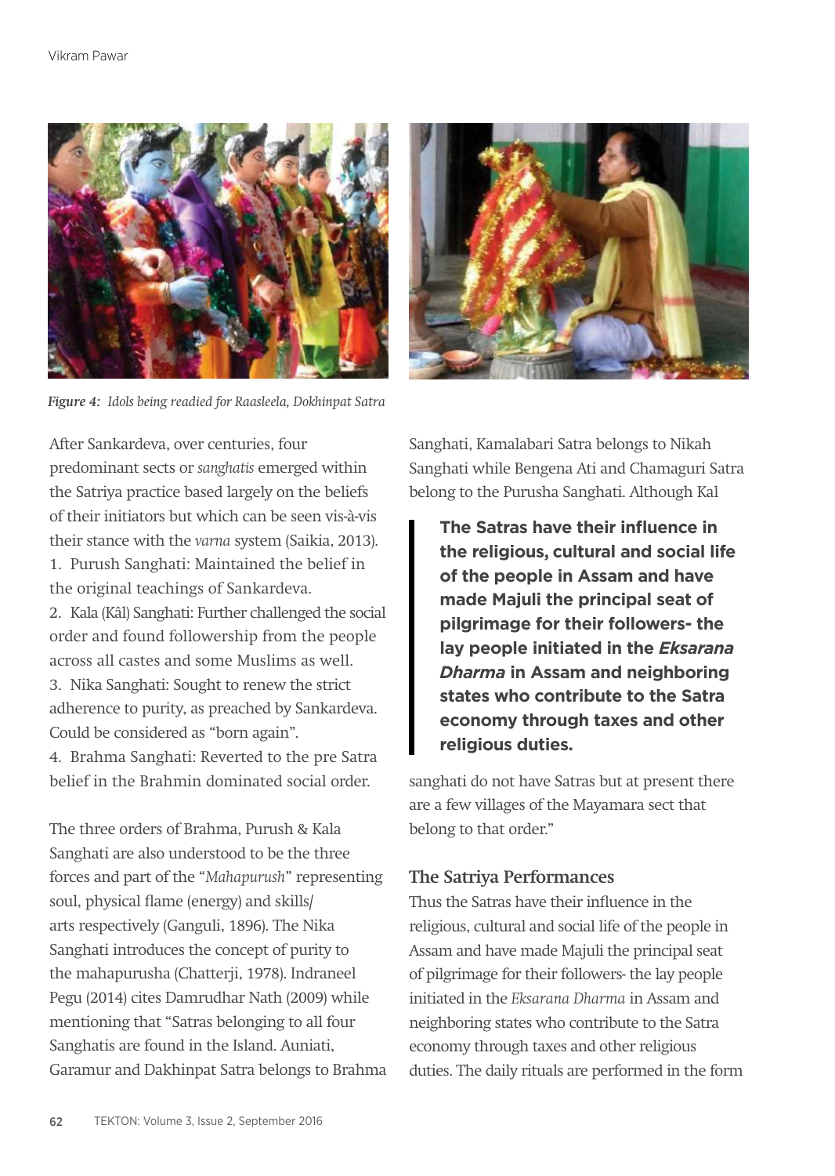

*Figure 4: Idols being readied for Raasleela, Dokhinpat Satra*



After Sankardeva, over centuries, four predominant sects or *sanghatis* emerged within the Satriya practice based largely on the beliefs of their initiators but which can be seen vis-à-vis their stance with the *varna* system (Saikia, 2013). 1. Purush Sanghati: Maintained the belief in the original teachings of Sankardeva. 2. Kala (Kâl) Sanghati: Further challenged the social order and found followership from the people across all castes and some Muslims as well. 3. Nika Sanghati: Sought to renew the strict adherence to purity, as preached by Sankardeva. Could be considered as "born again".

4. Brahma Sanghati: Reverted to the pre Satra belief in the Brahmin dominated social order.

The three orders of Brahma, Purush & Kala Sanghati are also understood to be the three forces and part of the "*Mahapurush*" representing soul, physical flame (energy) and skills/ arts respectively (Ganguli, 1896). The Nika Sanghati introduces the concept of purity to the mahapurusha (Chatterji, 1978). Indraneel Pegu (2014) cites Damrudhar Nath (2009) while mentioning that "Satras belonging to all four Sanghatis are found in the Island. Auniati, Garamur and Dakhinpat Satra belongs to Brahma Sanghati, Kamalabari Satra belongs to Nikah Sanghati while Bengena Ati and Chamaguri Satra belong to the Purusha Sanghati. Although Kal

**The Satras have their influence in the religious, cultural and social life of the people in Assam and have made Majuli the principal seat of pilgrimage for their followers- the lay people initiated in the** *Eksarana Dharma* **in Assam and neighboring states who contribute to the Satra economy through taxes and other religious duties.**

sanghati do not have Satras but at present there are a few villages of the Mayamara sect that belong to that order."

### **The Satriya Performances**

Thus the Satras have their influence in the religious, cultural and social life of the people in Assam and have made Majuli the principal seat of pilgrimage for their followers- the lay people initiated in the *Eksarana Dharma* in Assam and neighboring states who contribute to the Satra economy through taxes and other religious duties. The daily rituals are performed in the form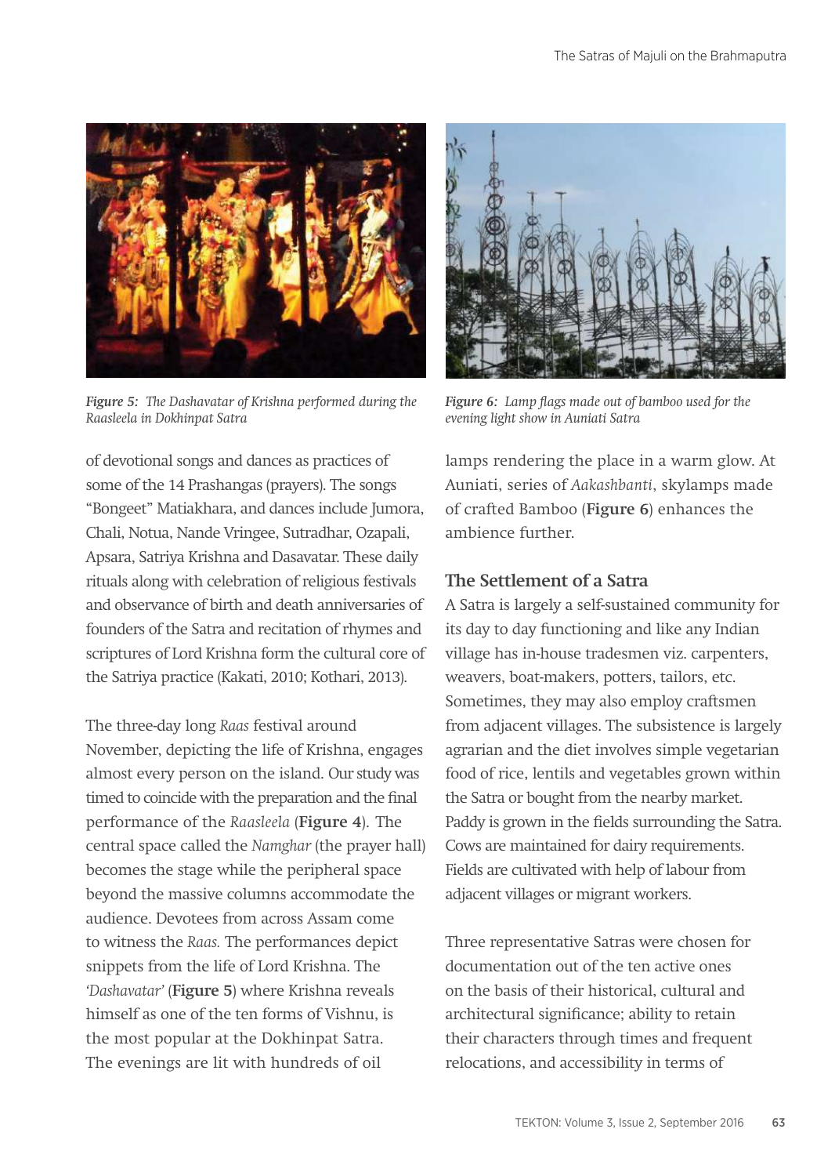

*Figure 5: The Dashavatar of Krishna performed during the Raasleela in Dokhinpat Satra*



*Figure 6: Lamp flags made out of bamboo used for the evening light show in Auniati Satra*

of devotional songs and dances as practices of some of the 14 Prashangas (prayers). The songs "Bongeet" Matiakhara, and dances include Jumora, Chali, Notua, Nande Vringee, Sutradhar, Ozapali, Apsara, Satriya Krishna and Dasavatar. These daily rituals along with celebration of religious festivals and observance of birth and death anniversaries of founders of the Satra and recitation of rhymes and scriptures of Lord Krishna form the cultural core of the Satriya practice (Kakati, 2010; Kothari, 2013).

The three-day long *Raas* festival around November, depicting the life of Krishna, engages almost every person on the island. Our study was timed to coincide with the preparation and the final performance of the *Raasleela* (**Figure 4**). The central space called the *Namghar* (the prayer hall) becomes the stage while the peripheral space beyond the massive columns accommodate the audience. Devotees from across Assam come to witness the *Raas.* The performances depict snippets from the life of Lord Krishna. The *'Dashavatar'* (**Figure 5**) where Krishna reveals himself as one of the ten forms of Vishnu, is the most popular at the Dokhinpat Satra. The evenings are lit with hundreds of oil

lamps rendering the place in a warm glow. At Auniati, series of *Aakashbanti*, skylamps made of crafted Bamboo (**Figure 6**) enhances the ambience further.

# **The Settlement of a Satra**

A Satra is largely a self-sustained community for its day to day functioning and like any Indian village has in-house tradesmen viz. carpenters, weavers, boat-makers, potters, tailors, etc. Sometimes, they may also employ craftsmen from adjacent villages. The subsistence is largely agrarian and the diet involves simple vegetarian food of rice, lentils and vegetables grown within the Satra or bought from the nearby market. Paddy is grown in the fields surrounding the Satra. Cows are maintained for dairy requirements. Fields are cultivated with help of labour from adjacent villages or migrant workers.

Three representative Satras were chosen for documentation out of the ten active ones on the basis of their historical, cultural and architectural significance; ability to retain their characters through times and frequent relocations, and accessibility in terms of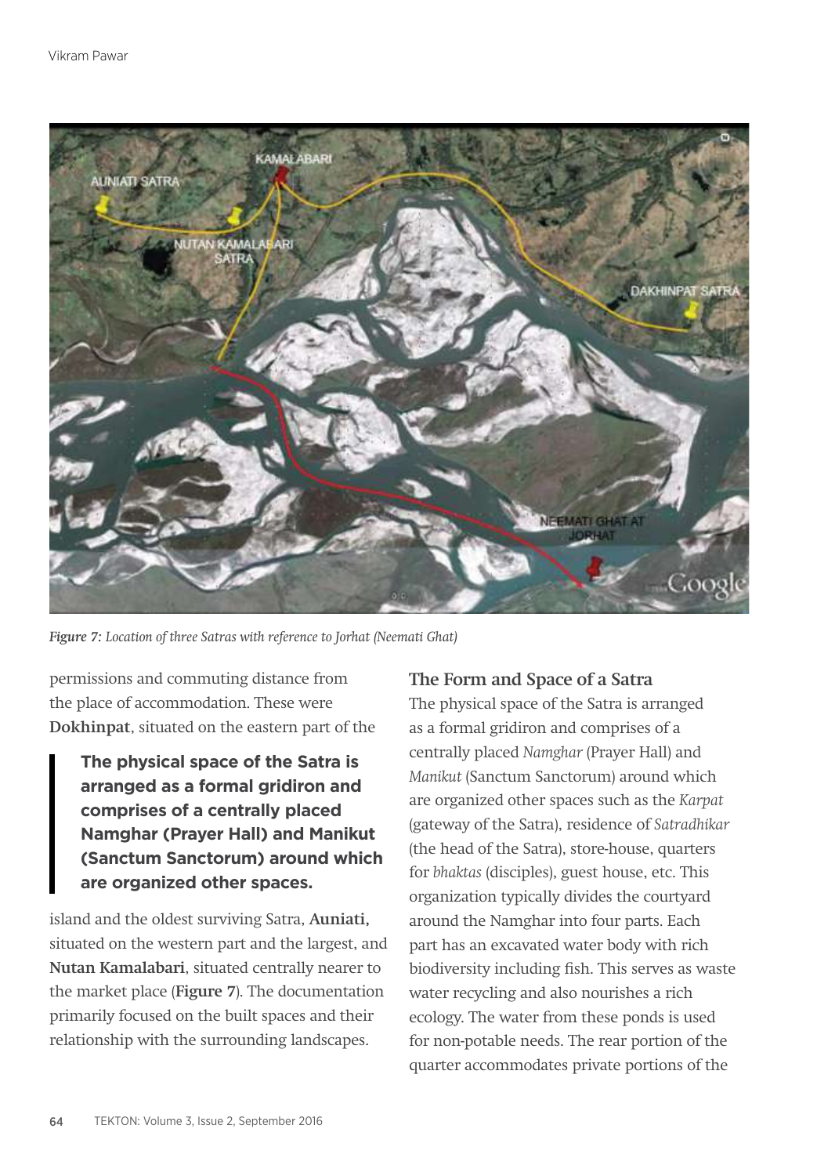

*Figure 7: Location of three Satras with reference to Jorhat (Neemati Ghat)*

permissions and commuting distance from the place of accommodation. These were **Dokhinpat**, situated on the eastern part of the

**The physical space of the Satra is arranged as a formal gridiron and comprises of a centrally placed Namghar (Prayer Hall) and Manikut (Sanctum Sanctorum) around which are organized other spaces.**

island and the oldest surviving Satra, **Auniati,** situated on the western part and the largest, and **Nutan Kamalabari**, situated centrally nearer to the market place (**Figure 7**). The documentation primarily focused on the built spaces and their relationship with the surrounding landscapes.

### **The Form and Space of a Satra**

The physical space of the Satra is arranged as a formal gridiron and comprises of a centrally placed *Namghar* (Prayer Hall) and *Manikut* (Sanctum Sanctorum) around which are organized other spaces such as the *Karpat*  (gateway of the Satra), residence of *Satradhikar* (the head of the Satra), store-house, quarters for *bhaktas* (disciples), guest house, etc. This organization typically divides the courtyard around the Namghar into four parts. Each part has an excavated water body with rich biodiversity including fish. This serves as waste water recycling and also nourishes a rich ecology. The water from these ponds is used for non-potable needs. The rear portion of the quarter accommodates private portions of the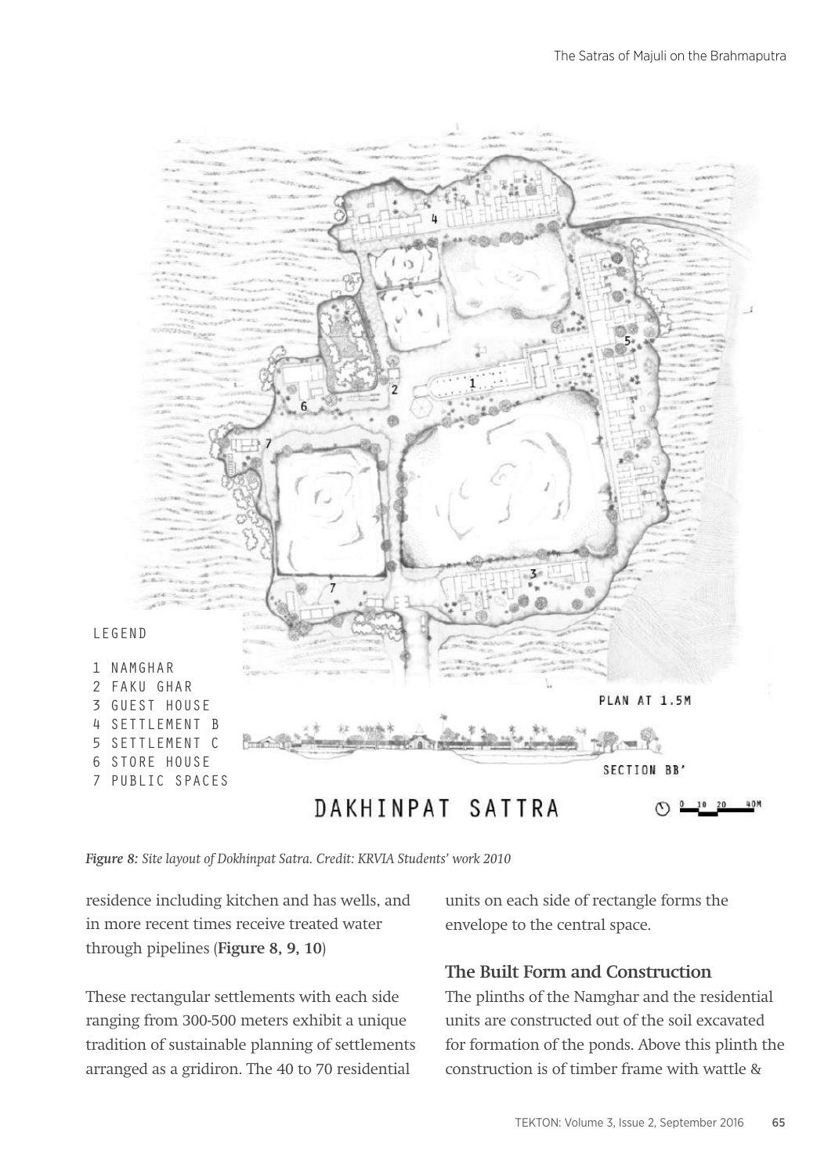

*Figure 8: Site layout of Dokhinpat Satra. Credit: KRVIA Students' work 2010*

residence including kitchen and has wells, and in more recent times receive treated water through pipelines (**Figure 8, 9, 10**)

These rectangular settlements with each side ranging from 300-500 meters exhibit a unique tradition of sustainable planning of settlements arranged as a gridiron. The 40 to 70 residential

units on each side of rectangle forms the envelope to the central space.

### **The Built Form and Construction**

The plinths of the Namghar and the residential units are constructed out of the soil excavated for formation of the ponds. Above this plinth the construction is of timber frame with wattle &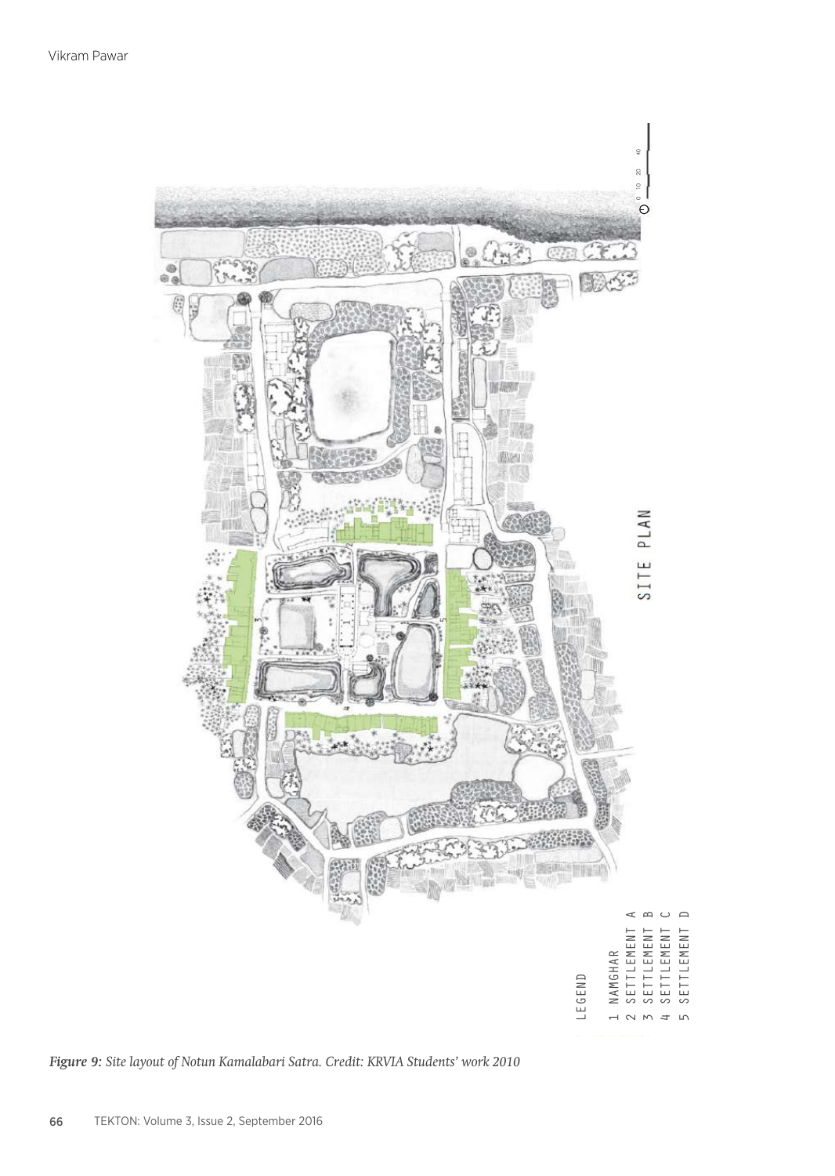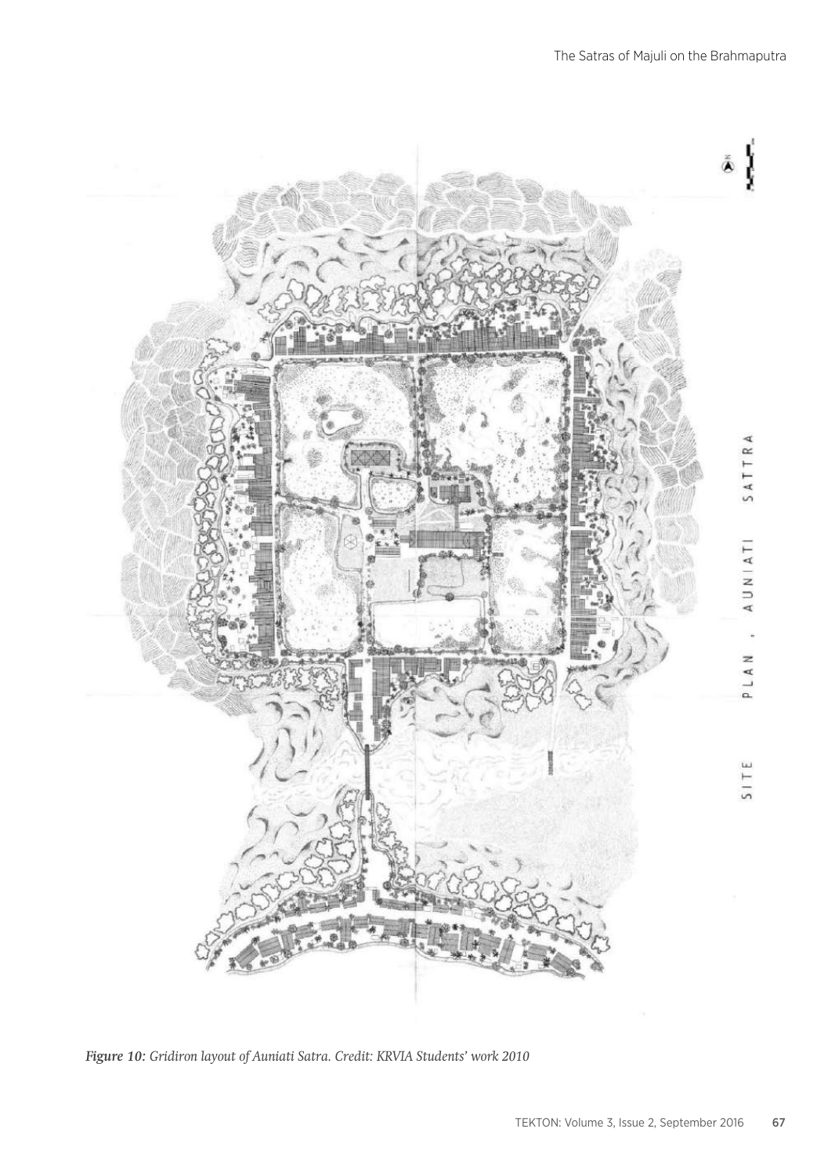

*Figure 10: Gridiron layout of Auniati Satra. Credit: KRVIA Students' work 2010*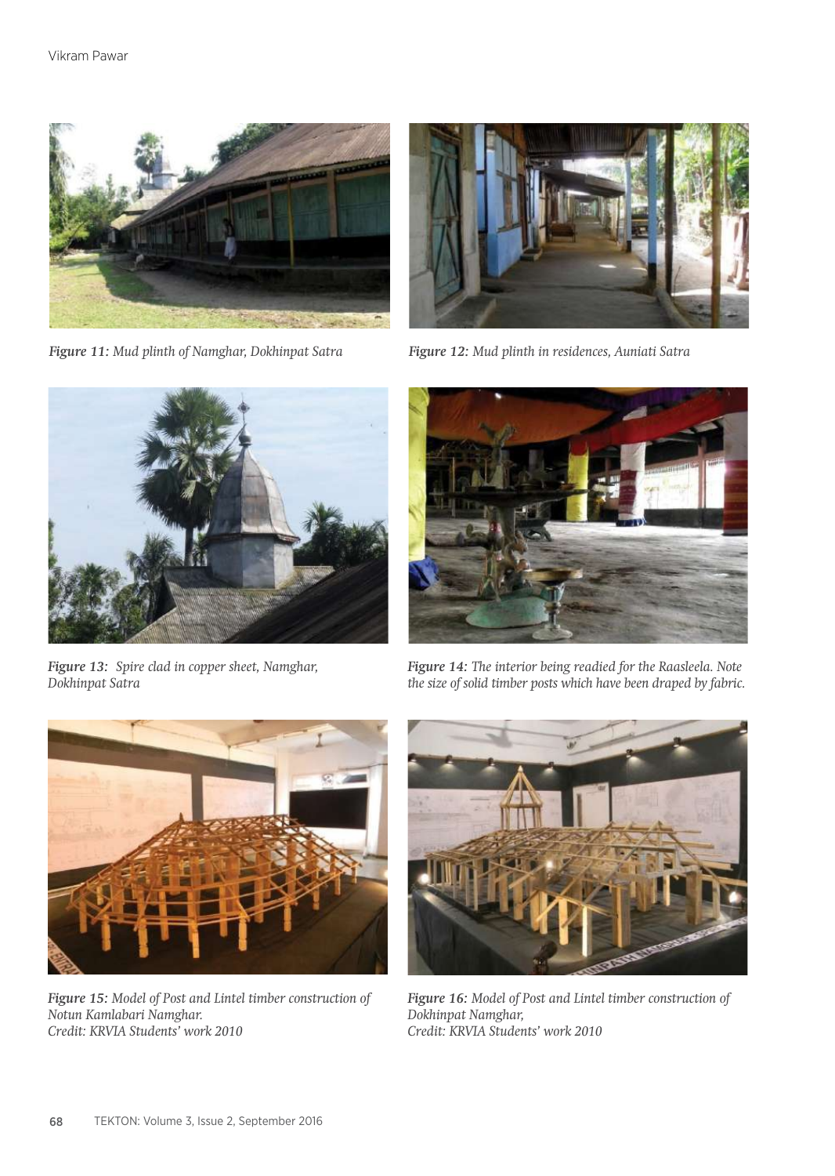

*Figure 11: Mud plinth of Namghar, Dokhinpat Satra*



*Figure 12: Mud plinth in residences, Auniati Satra*



*Figure 13: Spire clad in copper sheet, Namghar, Dokhinpat Satra*



*Figure 14: The interior being readied for the Raasleela. Note the size of solid timber posts which have been draped by fabric.*



*Figure 15: Model of Post and Lintel timber construction of Notun Kamlabari Namghar. Credit: KRVIA Students' work 2010*



*Figure 16: Model of Post and Lintel timber construction of Dokhinpat Namghar, Credit: KRVIA Students' work 2010*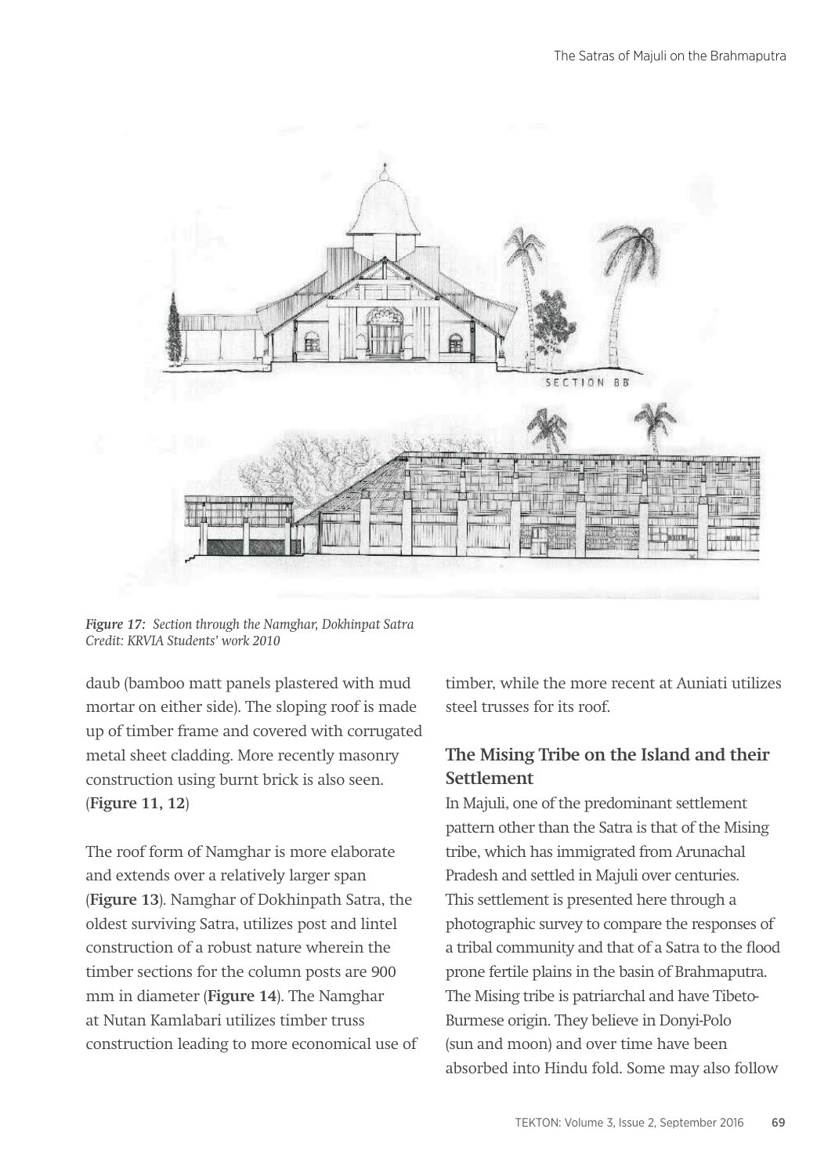

*Figure 17: Section through the Namghar, Dokhinpat Satra Credit: KRVIA Students' work 2010*

daub (bamboo matt panels plastered with mud mortar on either side). The sloping roof is made up of timber frame and covered with corrugated metal sheet cladding. More recently masonry construction using burnt brick is also seen. (**Figure 11, 12**)

The roof form of Namghar is more elaborate and extends over a relatively larger span (**Figure 13**). Namghar of Dokhinpath Satra, the oldest surviving Satra, utilizes post and lintel construction of a robust nature wherein the timber sections for the column posts are 900 mm in diameter (**Figure 14**). The Namghar at Nutan Kamlabari utilizes timber truss construction leading to more economical use of timber, while the more recent at Auniati utilizes steel trusses for its roof.

# **The Mising Tribe on the Island and their Settlement**

In Majuli, one of the predominant settlement pattern other than the Satra is that of the Mising tribe, which has immigrated from Arunachal Pradesh and settled in Majuli over centuries. This settlement is presented here through a photographic survey to compare the responses of a tribal community and that of a Satra to the flood prone fertile plains in the basin of Brahmaputra. The Mising tribe is patriarchal and have Tibeto-Burmese origin. They believe in Donyi-Polo (sun and moon) and over time have been absorbed into Hindu fold. Some may also follow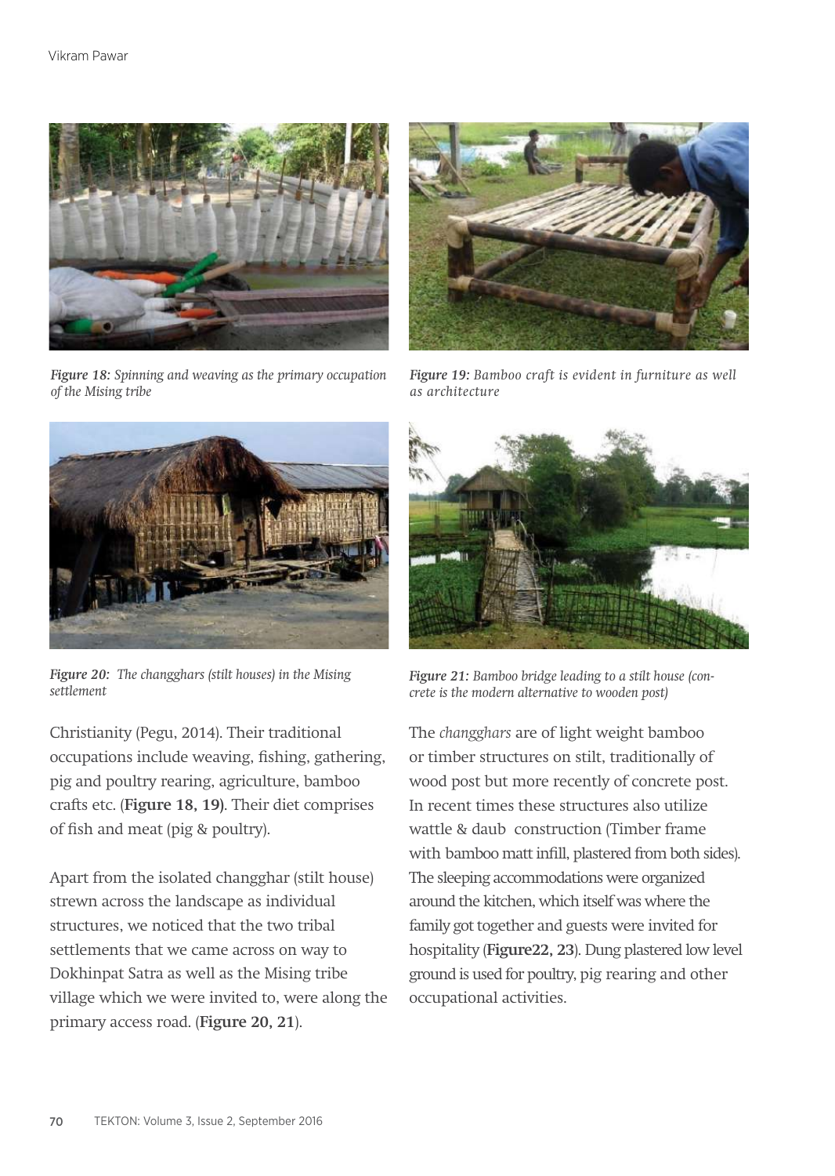

*Figure 18: Spinning and weaving as the primary occupation of the Mising tribe*



*Figure 19: Bamboo craft is evident in furniture as well as architecture*



*Figure 20: The changghars (stilt houses) in the Mising settlement*

Christianity (Pegu, 2014). Their traditional occupations include weaving, fishing, gathering, pig and poultry rearing, agriculture, bamboo crafts etc. (**Figure 18, 19)**. Their diet comprises of fish and meat (pig & poultry).

Apart from the isolated changghar (stilt house) strewn across the landscape as individual structures, we noticed that the two tribal settlements that we came across on way to Dokhinpat Satra as well as the Mising tribe village which we were invited to, were along the primary access road. (**Figure 20, 21**).



*Figure 21: Bamboo bridge leading to a stilt house (concrete is the modern alternative to wooden post)*

The *changghars* are of light weight bamboo or timber structures on stilt, traditionally of wood post but more recently of concrete post. In recent times these structures also utilize wattle & daub construction (Timber frame with bamboo matt infill, plastered from both sides). The sleeping accommodations were organized around the kitchen, which itself was where the family got together and guests were invited for hospitality (**Figure22, 23**). Dung plastered low level ground is used for poultry, pig rearing and other occupational activities.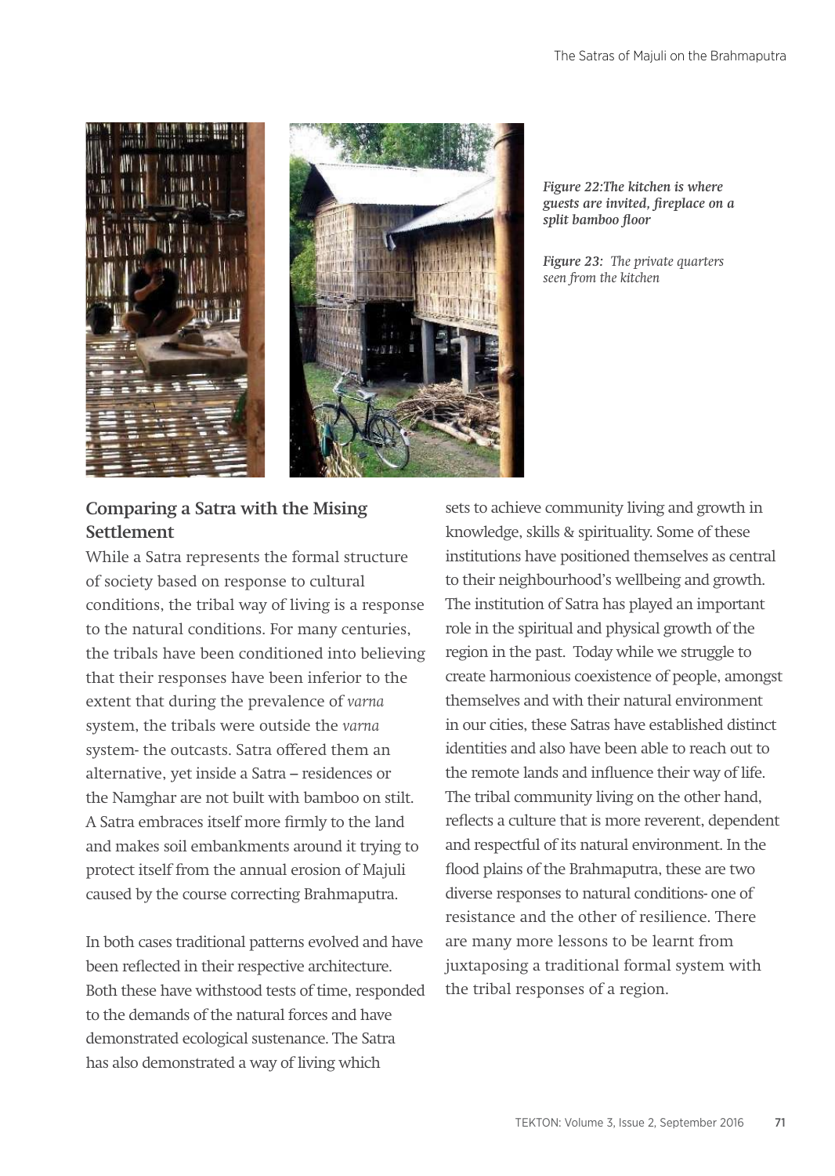



*Figure 22:The kitchen is where guests are invited, fireplace on a split bamboo floor*

*Figure 23: The private quarters seen from the kitchen*

# **Comparing a Satra with the Mising Settlement**

While a Satra represents the formal structure of society based on response to cultural conditions, the tribal way of living is a response to the natural conditions. For many centuries, the tribals have been conditioned into believing that their responses have been inferior to the extent that during the prevalence of *varna*  system, the tribals were outside the *varna*  system- the outcasts. Satra offered them an alternative, yet inside a Satra – residences or the Namghar are not built with bamboo on stilt. A Satra embraces itself more firmly to the land and makes soil embankments around it trying to protect itself from the annual erosion of Majuli caused by the course correcting Brahmaputra.

In both cases traditional patterns evolved and have been reflected in their respective architecture. Both these have withstood tests of time, responded to the demands of the natural forces and have demonstrated ecological sustenance. The Satra has also demonstrated a way of living which

sets to achieve community living and growth in knowledge, skills & spirituality. Some of these institutions have positioned themselves as central to their neighbourhood's wellbeing and growth. The institution of Satra has played an important role in the spiritual and physical growth of the region in the past. Today while we struggle to create harmonious coexistence of people, amongst themselves and with their natural environment in our cities, these Satras have established distinct identities and also have been able to reach out to the remote lands and influence their way of life. The tribal community living on the other hand, reflects a culture that is more reverent, dependent and respectful of its natural environment. In the flood plains of the Brahmaputra, these are two diverse responses to natural conditions- one of resistance and the other of resilience. There are many more lessons to be learnt from juxtaposing a traditional formal system with the tribal responses of a region.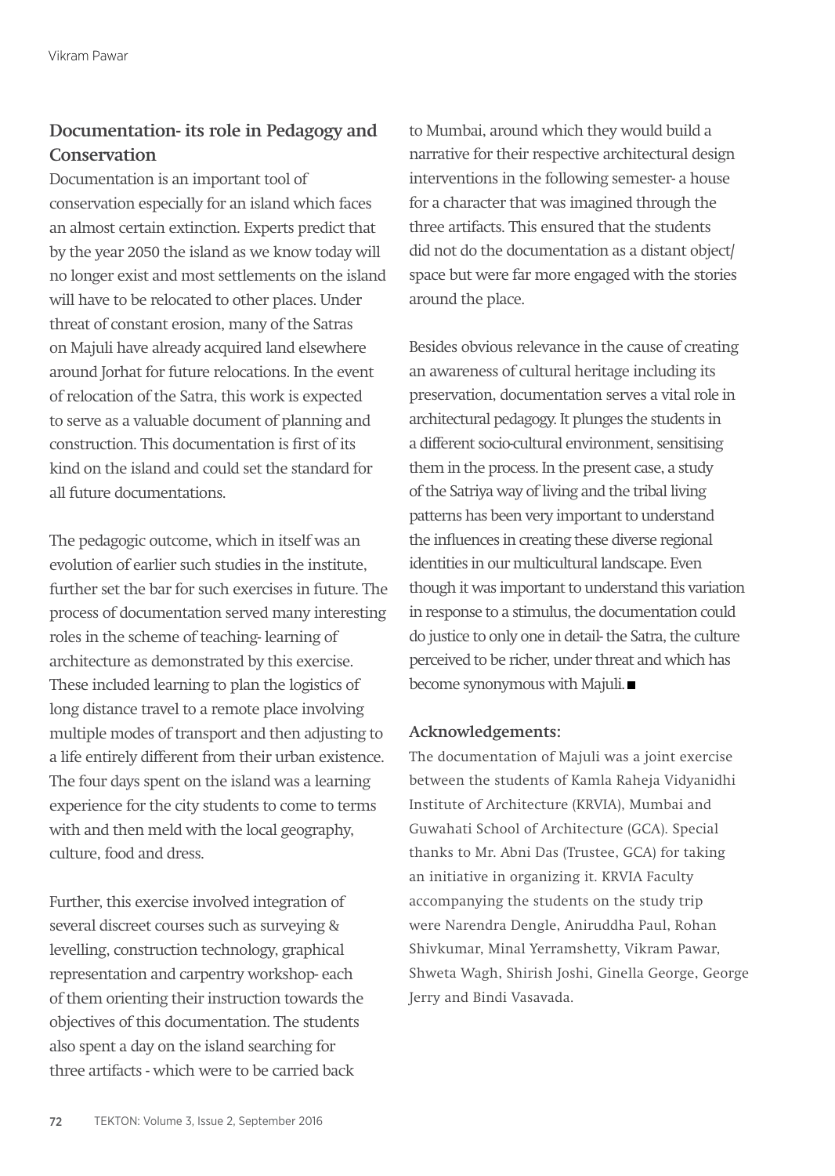# **Documentation- its role in Pedagogy and Conservation**

Documentation is an important tool of conservation especially for an island which faces an almost certain extinction. Experts predict that by the year 2050 the island as we know today will no longer exist and most settlements on the island will have to be relocated to other places. Under threat of constant erosion, many of the Satras on Majuli have already acquired land elsewhere around Jorhat for future relocations. In the event of relocation of the Satra, this work is expected to serve as a valuable document of planning and construction. This documentation is first of its kind on the island and could set the standard for all future documentations.

The pedagogic outcome, which in itself was an evolution of earlier such studies in the institute, further set the bar for such exercises in future. The process of documentation served many interesting roles in the scheme of teaching- learning of architecture as demonstrated by this exercise. These included learning to plan the logistics of long distance travel to a remote place involving multiple modes of transport and then adjusting to a life entirely different from their urban existence. The four days spent on the island was a learning experience for the city students to come to terms with and then meld with the local geography, culture, food and dress.

Further, this exercise involved integration of several discreet courses such as surveying & levelling, construction technology, graphical representation and carpentry workshop- each of them orienting their instruction towards the objectives of this documentation. The students also spent a day on the island searching for three artifacts - which were to be carried back

to Mumbai, around which they would build a narrative for their respective architectural design interventions in the following semester- a house for a character that was imagined through the three artifacts. This ensured that the students did not do the documentation as a distant object/ space but were far more engaged with the stories around the place.

Besides obvious relevance in the cause of creating an awareness of cultural heritage including its preservation, documentation serves a vital role in architectural pedagogy. It plunges the students in a different socio-cultural environment, sensitising them in the process. In the present case, a study of the Satriya way of living and the tribal living patterns has been very important to understand the influences in creating these diverse regional identities in our multicultural landscape. Even though it was important to understand this variation in response to a stimulus, the documentation could do justice to only one in detail- the Satra, the culture perceived to be richer, under threat and which has become synonymous with Majuli.

#### **Acknowledgements:**

The documentation of Majuli was a joint exercise between the students of Kamla Raheja Vidyanidhi Institute of Architecture (KRVIA), Mumbai and Guwahati School of Architecture (GCA). Special thanks to Mr. Abni Das (Trustee, GCA) for taking an initiative in organizing it. KRVIA Faculty accompanying the students on the study trip were Narendra Dengle, Aniruddha Paul, Rohan Shivkumar, Minal Yerramshetty, Vikram Pawar, Shweta Wagh, Shirish Joshi, Ginella George, George Jerry and Bindi Vasavada.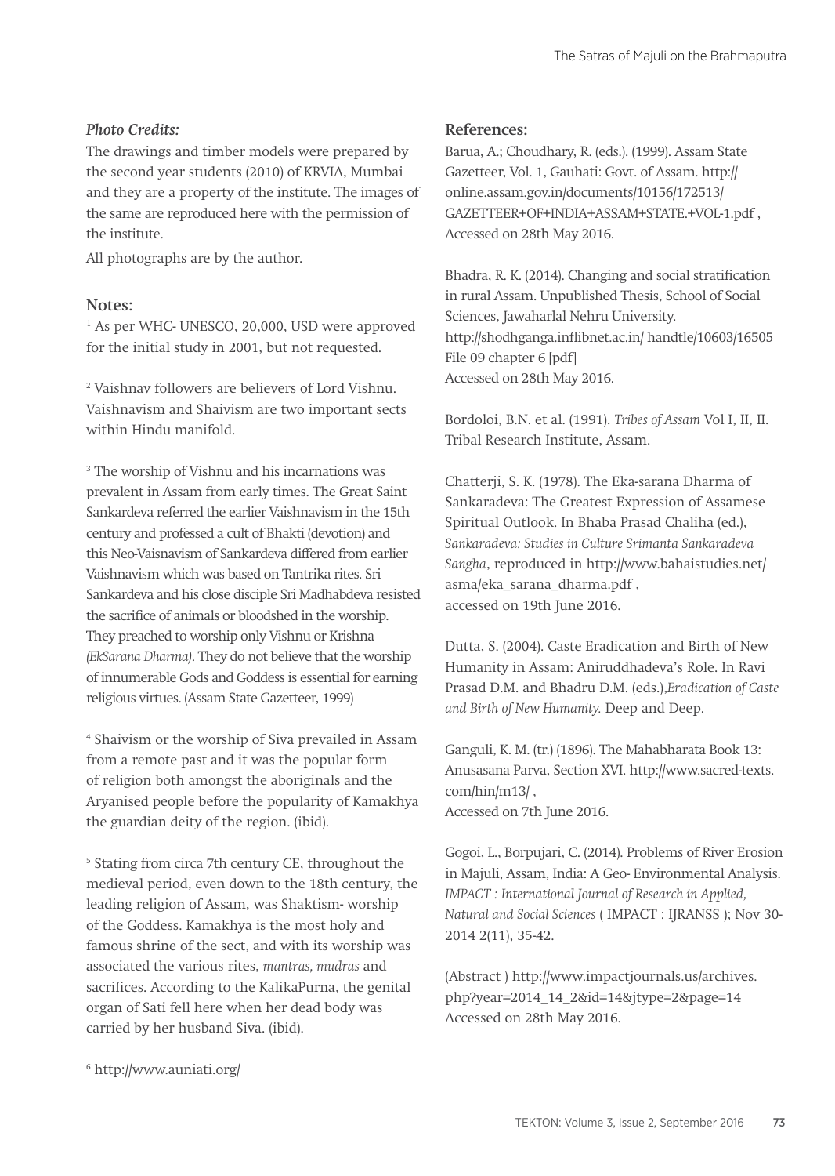#### *Photo Credits:*

The drawings and timber models were prepared by the second year students (2010) of KRVIA, Mumbai and they are a property of the institute. The images of the same are reproduced here with the permission of the institute.

All photographs are by the author.

#### **Notes:**

1 As per WHC- UNESCO, 20,000, USD were approved for the initial study in 2001, but not requested.

2 Vaishnav followers are believers of Lord Vishnu. Vaishnavism and Shaivism are two important sects within Hindu manifold.

3 The worship of Vishnu and his incarnations was prevalent in Assam from early times. The Great Saint Sankardeva referred the earlier Vaishnavism in the 15th century and professed a cult of Bhakti (devotion) and this Neo-Vaisnavism of Sankardeva differed from earlier Vaishnavism which was based on Tantrika rites. Sri Sankardeva and his close disciple Sri Madhabdeva resisted the sacrifice of animals or bloodshed in the worship. They preached to worship only Vishnu or Krishna *(EkSarana Dharma)*. They do not believe that the worship of innumerable Gods and Goddess is essential for earning religious virtues. (Assam State Gazetteer, 1999)

4 Shaivism or the worship of Siva prevailed in Assam from a remote past and it was the popular form of religion both amongst the aboriginals and the Aryanised people before the popularity of Kamakhya the guardian deity of the region. (ibid).

5 Stating from circa 7th century CE, throughout the medieval period, even down to the 18th century, the leading religion of Assam, was Shaktism- worship of the Goddess. Kamakhya is the most holy and famous shrine of the sect, and with its worship was associated the various rites, *mantras, mudras* and sacrifices. According to the KalikaPurna, the genital organ of Sati fell here when her dead body was carried by her husband Siva. (ibid).

**References:**

Barua, A.; Choudhary, R. (eds.). (1999). Assam State Gazetteer, Vol. 1, Gauhati: Govt. of Assam. http:// online.assam.gov.in/documents/10156/172513/ GAZETTEER+OF+INDIA+ASSAM+STATE.+VOL-1.pdf , Accessed on 28th May 2016.

Bhadra, R. K. (2014). Changing and social stratification in rural Assam. Unpublished Thesis, School of Social Sciences, Jawaharlal Nehru University. http://shodhganga.inflibnet.ac.in/ handtle/10603/16505 File 09 chapter 6 [pdf] Accessed on 28th May 2016.

Bordoloi, B.N. et al. (1991). *Tribes of Assam* Vol I, II, II. Tribal Research Institute, Assam.

Chatterji, S. K. (1978). The Eka-sarana Dharma of Sankaradeva: The Greatest Expression of Assamese Spiritual Outlook. In Bhaba Prasad Chaliha (ed.), *Sankaradeva: Studies in Culture Srimanta Sankaradeva Sangha*, reproduced in http://www.bahaistudies.net/ asma/eka\_sarana\_dharma.pdf , accessed on 19th June 2016.

Dutta, S. (2004). Caste Eradication and Birth of New Humanity in Assam: Aniruddhadeva's Role. In Ravi Prasad D.M. and Bhadru D.M. (eds.),*Eradication of Caste and Birth of New Humanity.* Deep and Deep.

Ganguli, K. M. (tr.) (1896). The Mahabharata Book 13: Anusasana Parva, Section XVI. http://www.sacred-texts. com/hin/m13/ , Accessed on 7th June 2016.

Gogoi, L., Borpujari, C. (2014). Problems of River Erosion in Majuli, Assam, India: A Geo- Environmental Analysis. *IMPACT : International Journal of Research in Applied, Natural and Social Sciences* ( IMPACT : IJRANSS ); Nov 30- 2014 2(11), 35-42.

(Abstract ) http://www.impactjournals.us/archives. php?year=2014\_14\_2&id=14&jtype=2&page=14 Accessed on 28th May 2016.

6 http://www.auniati.org/